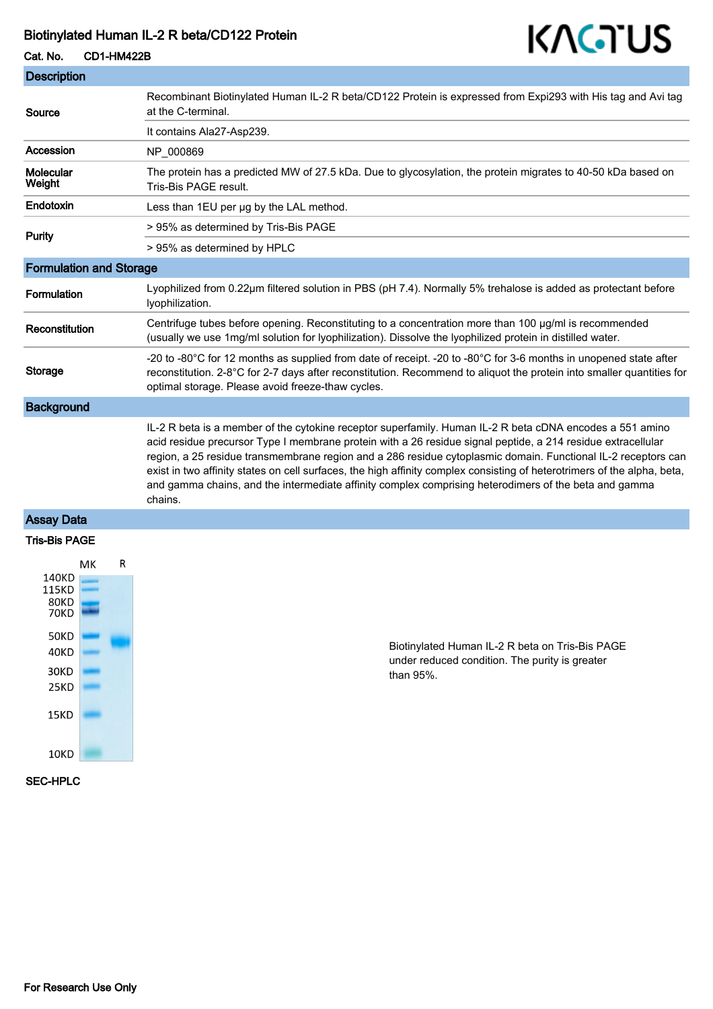## Biotinylated Human IL-2 R beta/CD122 Protein

# KAGTUS

| Cat. No.                       | <b>CD1-HM422B</b> | 11 I V I V                                                                                                                                                                                                                                                                                                                                                                                                                                                                                                                                                                                |
|--------------------------------|-------------------|-------------------------------------------------------------------------------------------------------------------------------------------------------------------------------------------------------------------------------------------------------------------------------------------------------------------------------------------------------------------------------------------------------------------------------------------------------------------------------------------------------------------------------------------------------------------------------------------|
| <b>Description</b>             |                   |                                                                                                                                                                                                                                                                                                                                                                                                                                                                                                                                                                                           |
| Source                         |                   | Recombinant Biotinylated Human IL-2 R beta/CD122 Protein is expressed from Expi293 with His tag and Avi tag<br>at the C-terminal.                                                                                                                                                                                                                                                                                                                                                                                                                                                         |
|                                |                   | It contains Ala27-Asp239.                                                                                                                                                                                                                                                                                                                                                                                                                                                                                                                                                                 |
| Accession                      |                   | NP_000869                                                                                                                                                                                                                                                                                                                                                                                                                                                                                                                                                                                 |
| Molecular<br>Weight            |                   | The protein has a predicted MW of 27.5 kDa. Due to glycosylation, the protein migrates to 40-50 kDa based on<br>Tris-Bis PAGE result.                                                                                                                                                                                                                                                                                                                                                                                                                                                     |
| Endotoxin                      |                   | Less than 1EU per ug by the LAL method.                                                                                                                                                                                                                                                                                                                                                                                                                                                                                                                                                   |
| <b>Purity</b>                  |                   | > 95% as determined by Tris-Bis PAGE                                                                                                                                                                                                                                                                                                                                                                                                                                                                                                                                                      |
|                                |                   | > 95% as determined by HPLC                                                                                                                                                                                                                                                                                                                                                                                                                                                                                                                                                               |
| <b>Formulation and Storage</b> |                   |                                                                                                                                                                                                                                                                                                                                                                                                                                                                                                                                                                                           |
| Formulation                    |                   | Lyophilized from 0.22µm filtered solution in PBS (pH 7.4). Normally 5% trehalose is added as protectant before<br>lyophilization.                                                                                                                                                                                                                                                                                                                                                                                                                                                         |
| Reconstitution                 |                   | Centrifuge tubes before opening. Reconstituting to a concentration more than 100 µg/ml is recommended<br>(usually we use 1mg/ml solution for lyophilization). Dissolve the lyophilized protein in distilled water.                                                                                                                                                                                                                                                                                                                                                                        |
| Storage                        |                   | -20 to -80°C for 12 months as supplied from date of receipt. -20 to -80°C for 3-6 months in unopened state after<br>reconstitution. 2-8°C for 2-7 days after reconstitution. Recommend to aliquot the protein into smaller quantities for<br>optimal storage. Please avoid freeze-thaw cycles.                                                                                                                                                                                                                                                                                            |
| <b>Background</b>              |                   |                                                                                                                                                                                                                                                                                                                                                                                                                                                                                                                                                                                           |
|                                |                   | IL-2 R beta is a member of the cytokine receptor superfamily. Human IL-2 R beta cDNA encodes a 551 amino<br>acid residue precursor Type I membrane protein with a 26 residue signal peptide, a 214 residue extracellular<br>region, a 25 residue transmembrane region and a 286 residue cytoplasmic domain. Functional IL-2 receptors can<br>exist in two affinity states on cell surfaces, the high affinity complex consisting of heterotrimers of the alpha, beta,<br>and gamma chains, and the intermediate affinity complex comprising heterodimers of the beta and gamma<br>chains. |
| $. \n\n$                       |                   |                                                                                                                                                                                                                                                                                                                                                                                                                                                                                                                                                                                           |

### Assay Data





Biotinylated Human IL-2 R beta on Tris-Bis PAGE under reduced condition. The purity is greater than 95%.

#### SEC-HPLC